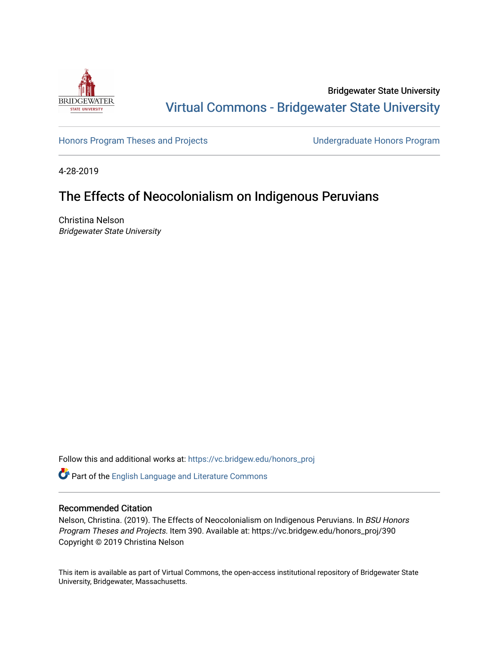

Bridgewater State University [Virtual Commons - Bridgewater State University](https://vc.bridgew.edu/) 

[Honors Program Theses and Projects](https://vc.bridgew.edu/honors_proj) [Undergraduate Honors Program](https://vc.bridgew.edu/honors) 

4-28-2019

## The Effects of Neocolonialism on Indigenous Peruvians

Christina Nelson Bridgewater State University

Follow this and additional works at: [https://vc.bridgew.edu/honors\\_proj](https://vc.bridgew.edu/honors_proj?utm_source=vc.bridgew.edu%2Fhonors_proj%2F390&utm_medium=PDF&utm_campaign=PDFCoverPages)

Part of the [English Language and Literature Commons](http://network.bepress.com/hgg/discipline/455?utm_source=vc.bridgew.edu%2Fhonors_proj%2F390&utm_medium=PDF&utm_campaign=PDFCoverPages)

## Recommended Citation

Nelson, Christina. (2019). The Effects of Neocolonialism on Indigenous Peruvians. In BSU Honors Program Theses and Projects. Item 390. Available at: https://vc.bridgew.edu/honors\_proj/390 Copyright © 2019 Christina Nelson

This item is available as part of Virtual Commons, the open-access institutional repository of Bridgewater State University, Bridgewater, Massachusetts.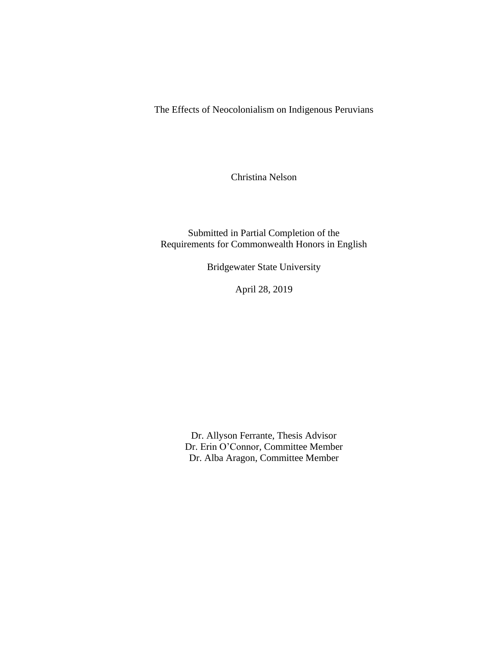The Effects of Neocolonialism on Indigenous Peruvians

Christina Nelson

Submitted in Partial Completion of the Requirements for Commonwealth Honors in English

Bridgewater State University

April 28, 2019

Dr. Allyson Ferrante, Thesis Advisor Dr. Erin O'Connor, Committee Member Dr. Alba Aragon, Committee Member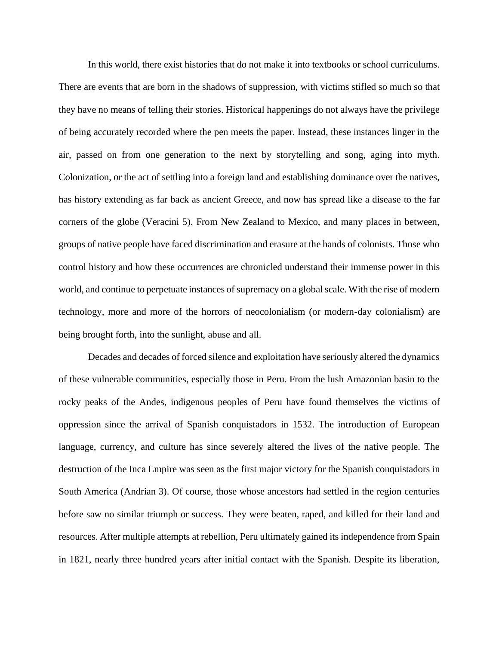In this world, there exist histories that do not make it into textbooks or school curriculums. There are events that are born in the shadows of suppression, with victims stifled so much so that they have no means of telling their stories. Historical happenings do not always have the privilege of being accurately recorded where the pen meets the paper. Instead, these instances linger in the air, passed on from one generation to the next by storytelling and song, aging into myth. Colonization, or the act of settling into a foreign land and establishing dominance over the natives, has history extending as far back as ancient Greece, and now has spread like a disease to the far corners of the globe (Veracini 5). From New Zealand to Mexico, and many places in between, groups of native people have faced discrimination and erasure at the hands of colonists. Those who control history and how these occurrences are chronicled understand their immense power in this world, and continue to perpetuate instances of supremacy on a global scale. With the rise of modern technology, more and more of the horrors of neocolonialism (or modern-day colonialism) are being brought forth, into the sunlight, abuse and all.

Decades and decades of forced silence and exploitation have seriously altered the dynamics of these vulnerable communities, especially those in Peru. From the lush Amazonian basin to the rocky peaks of the Andes, indigenous peoples of Peru have found themselves the victims of oppression since the arrival of Spanish conquistadors in 1532. The introduction of European language, currency, and culture has since severely altered the lives of the native people. The destruction of the Inca Empire was seen as the first major victory for the Spanish conquistadors in South America (Andrian 3). Of course, those whose ancestors had settled in the region centuries before saw no similar triumph or success. They were beaten, raped, and killed for their land and resources. After multiple attempts at rebellion, Peru ultimately gained its independence from Spain in 1821, nearly three hundred years after initial contact with the Spanish. Despite its liberation,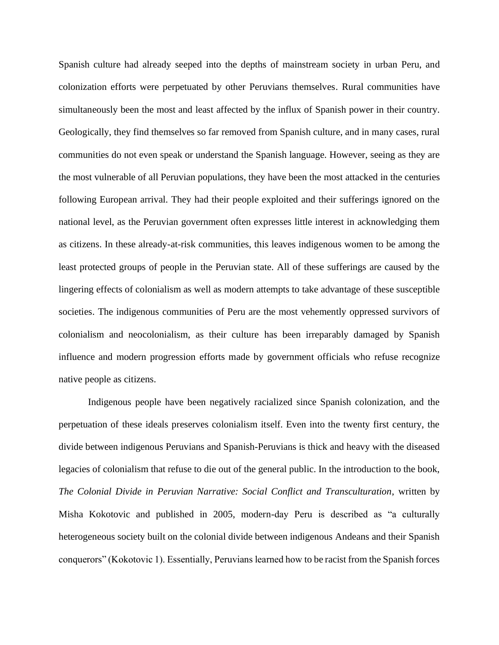Spanish culture had already seeped into the depths of mainstream society in urban Peru, and colonization efforts were perpetuated by other Peruvians themselves. Rural communities have simultaneously been the most and least affected by the influx of Spanish power in their country. Geologically, they find themselves so far removed from Spanish culture, and in many cases, rural communities do not even speak or understand the Spanish language. However, seeing as they are the most vulnerable of all Peruvian populations, they have been the most attacked in the centuries following European arrival. They had their people exploited and their sufferings ignored on the national level, as the Peruvian government often expresses little interest in acknowledging them as citizens. In these already-at-risk communities, this leaves indigenous women to be among the least protected groups of people in the Peruvian state. All of these sufferings are caused by the lingering effects of colonialism as well as modern attempts to take advantage of these susceptible societies. The indigenous communities of Peru are the most vehemently oppressed survivors of colonialism and neocolonialism, as their culture has been irreparably damaged by Spanish influence and modern progression efforts made by government officials who refuse recognize native people as citizens.

Indigenous people have been negatively racialized since Spanish colonization, and the perpetuation of these ideals preserves colonialism itself. Even into the twenty first century, the divide between indigenous Peruvians and Spanish-Peruvians is thick and heavy with the diseased legacies of colonialism that refuse to die out of the general public. In the introduction to the book, *The Colonial Divide in Peruvian Narrative: Social Conflict and Transculturation*, written by Misha Kokotovic and published in 2005, modern-day Peru is described as "a culturally heterogeneous society built on the colonial divide between indigenous Andeans and their Spanish conquerors" (Kokotovic 1). Essentially, Peruvians learned how to be racist from the Spanish forces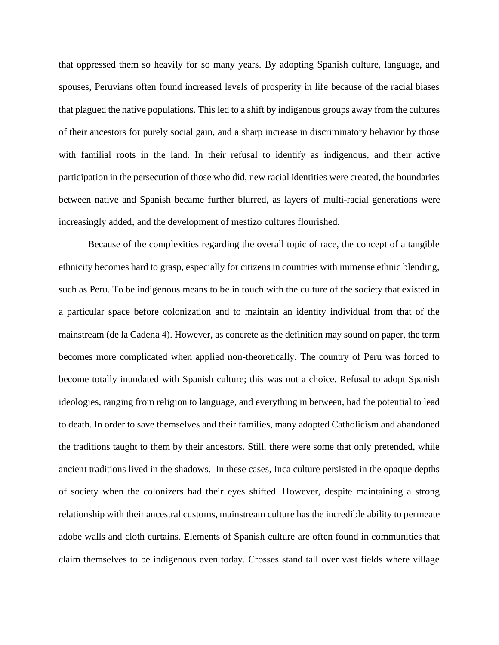that oppressed them so heavily for so many years. By adopting Spanish culture, language, and spouses, Peruvians often found increased levels of prosperity in life because of the racial biases that plagued the native populations. This led to a shift by indigenous groups away from the cultures of their ancestors for purely social gain, and a sharp increase in discriminatory behavior by those with familial roots in the land. In their refusal to identify as indigenous, and their active participation in the persecution of those who did, new racial identities were created, the boundaries between native and Spanish became further blurred, as layers of multi-racial generations were increasingly added, and the development of mestizo cultures flourished.

Because of the complexities regarding the overall topic of race, the concept of a tangible ethnicity becomes hard to grasp, especially for citizens in countries with immense ethnic blending, such as Peru. To be indigenous means to be in touch with the culture of the society that existed in a particular space before colonization and to maintain an identity individual from that of the mainstream (de la Cadena 4). However, as concrete as the definition may sound on paper, the term becomes more complicated when applied non-theoretically. The country of Peru was forced to become totally inundated with Spanish culture; this was not a choice. Refusal to adopt Spanish ideologies, ranging from religion to language, and everything in between, had the potential to lead to death. In order to save themselves and their families, many adopted Catholicism and abandoned the traditions taught to them by their ancestors. Still, there were some that only pretended, while ancient traditions lived in the shadows. In these cases, Inca culture persisted in the opaque depths of society when the colonizers had their eyes shifted. However, despite maintaining a strong relationship with their ancestral customs, mainstream culture has the incredible ability to permeate adobe walls and cloth curtains. Elements of Spanish culture are often found in communities that claim themselves to be indigenous even today. Crosses stand tall over vast fields where village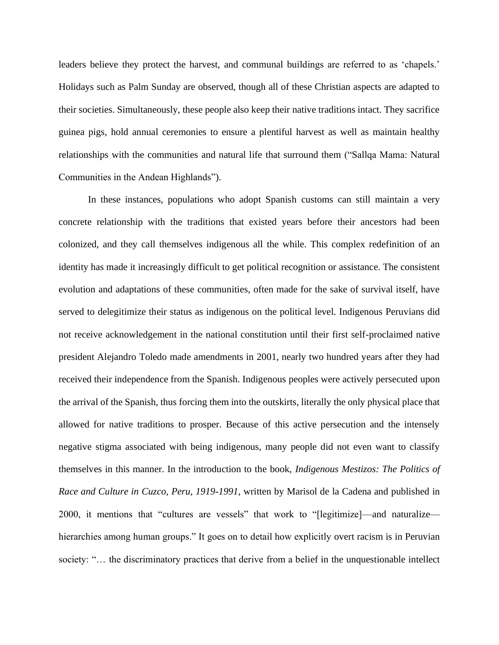leaders believe they protect the harvest, and communal buildings are referred to as 'chapels.' Holidays such as Palm Sunday are observed, though all of these Christian aspects are adapted to their societies. Simultaneously, these people also keep their native traditions intact. They sacrifice guinea pigs, hold annual ceremonies to ensure a plentiful harvest as well as maintain healthy relationships with the communities and natural life that surround them ("Sallqa Mama: Natural Communities in the Andean Highlands").

In these instances, populations who adopt Spanish customs can still maintain a very concrete relationship with the traditions that existed years before their ancestors had been colonized, and they call themselves indigenous all the while. This complex redefinition of an identity has made it increasingly difficult to get political recognition or assistance. The consistent evolution and adaptations of these communities, often made for the sake of survival itself, have served to delegitimize their status as indigenous on the political level. Indigenous Peruvians did not receive acknowledgement in the national constitution until their first self-proclaimed native president Alejandro Toledo made amendments in 2001, nearly two hundred years after they had received their independence from the Spanish. Indigenous peoples were actively persecuted upon the arrival of the Spanish, thus forcing them into the outskirts, literally the only physical place that allowed for native traditions to prosper. Because of this active persecution and the intensely negative stigma associated with being indigenous, many people did not even want to classify themselves in this manner. In the introduction to the book, *Indigenous Mestizos: The Politics of Race and Culture in Cuzco, Peru, 1919-1991*, written by Marisol de la Cadena and published in 2000, it mentions that "cultures are vessels" that work to "[legitimize]—and naturalize hierarchies among human groups." It goes on to detail how explicitly overt racism is in Peruvian society: "… the discriminatory practices that derive from a belief in the unquestionable intellect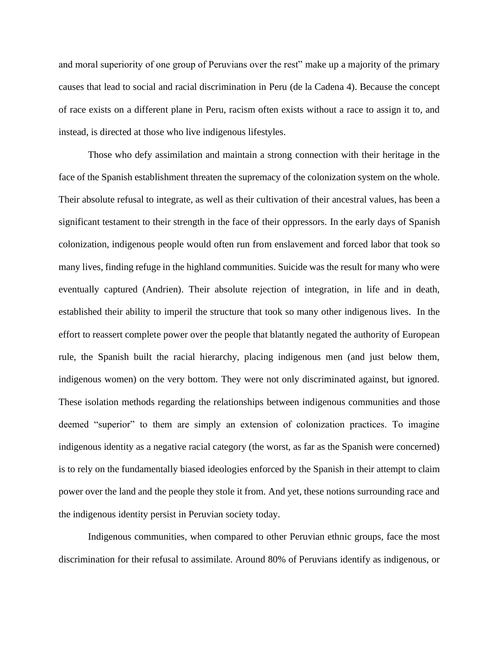and moral superiority of one group of Peruvians over the rest" make up a majority of the primary causes that lead to social and racial discrimination in Peru (de la Cadena 4). Because the concept of race exists on a different plane in Peru, racism often exists without a race to assign it to, and instead, is directed at those who live indigenous lifestyles.

Those who defy assimilation and maintain a strong connection with their heritage in the face of the Spanish establishment threaten the supremacy of the colonization system on the whole. Their absolute refusal to integrate, as well as their cultivation of their ancestral values, has been a significant testament to their strength in the face of their oppressors. In the early days of Spanish colonization, indigenous people would often run from enslavement and forced labor that took so many lives, finding refuge in the highland communities. Suicide was the result for many who were eventually captured (Andrien). Their absolute rejection of integration, in life and in death, established their ability to imperil the structure that took so many other indigenous lives. In the effort to reassert complete power over the people that blatantly negated the authority of European rule, the Spanish built the racial hierarchy, placing indigenous men (and just below them, indigenous women) on the very bottom. They were not only discriminated against, but ignored. These isolation methods regarding the relationships between indigenous communities and those deemed "superior" to them are simply an extension of colonization practices. To imagine indigenous identity as a negative racial category (the worst, as far as the Spanish were concerned) is to rely on the fundamentally biased ideologies enforced by the Spanish in their attempt to claim power over the land and the people they stole it from. And yet, these notions surrounding race and the indigenous identity persist in Peruvian society today.

Indigenous communities, when compared to other Peruvian ethnic groups, face the most discrimination for their refusal to assimilate. Around 80% of Peruvians identify as indigenous, or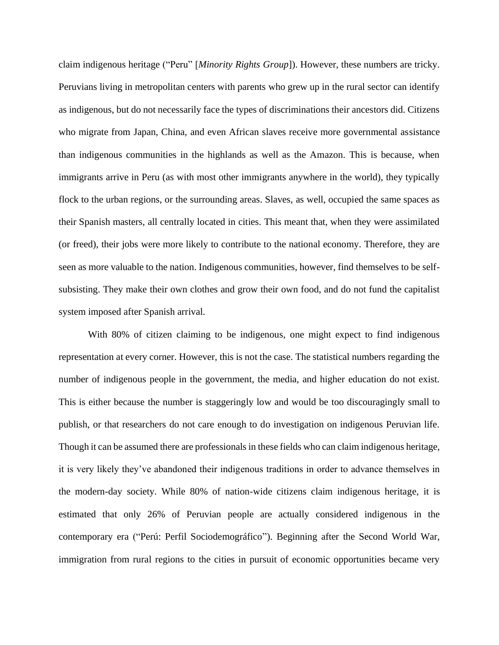claim indigenous heritage ("Peru" [*Minority Rights Group*]). However, these numbers are tricky. Peruvians living in metropolitan centers with parents who grew up in the rural sector can identify as indigenous, but do not necessarily face the types of discriminations their ancestors did. Citizens who migrate from Japan, China, and even African slaves receive more governmental assistance than indigenous communities in the highlands as well as the Amazon. This is because, when immigrants arrive in Peru (as with most other immigrants anywhere in the world), they typically flock to the urban regions, or the surrounding areas. Slaves, as well, occupied the same spaces as their Spanish masters, all centrally located in cities. This meant that, when they were assimilated (or freed), their jobs were more likely to contribute to the national economy. Therefore, they are seen as more valuable to the nation. Indigenous communities, however, find themselves to be selfsubsisting. They make their own clothes and grow their own food, and do not fund the capitalist system imposed after Spanish arrival.

With 80% of citizen claiming to be indigenous, one might expect to find indigenous representation at every corner. However, this is not the case. The statistical numbers regarding the number of indigenous people in the government, the media, and higher education do not exist. This is either because the number is staggeringly low and would be too discouragingly small to publish, or that researchers do not care enough to do investigation on indigenous Peruvian life. Though it can be assumed there are professionals in these fields who can claim indigenous heritage, it is very likely they've abandoned their indigenous traditions in order to advance themselves in the modern-day society. While 80% of nation-wide citizens claim indigenous heritage, it is estimated that only 26% of Peruvian people are actually considered indigenous in the contemporary era ("Perú: Perfil Sociodemográfico"). Beginning after the Second World War, immigration from rural regions to the cities in pursuit of economic opportunities became very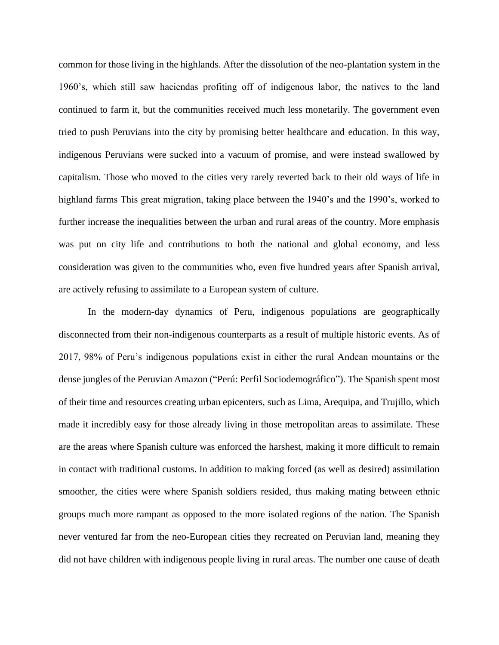common for those living in the highlands. After the dissolution of the neo-plantation system in the 1960's, which still saw haciendas profiting off of indigenous labor, the natives to the land continued to farm it, but the communities received much less monetarily. The government even tried to push Peruvians into the city by promising better healthcare and education. In this way, indigenous Peruvians were sucked into a vacuum of promise, and were instead swallowed by capitalism. Those who moved to the cities very rarely reverted back to their old ways of life in highland farms This great migration, taking place between the 1940's and the 1990's, worked to further increase the inequalities between the urban and rural areas of the country. More emphasis was put on city life and contributions to both the national and global economy, and less consideration was given to the communities who, even five hundred years after Spanish arrival, are actively refusing to assimilate to a European system of culture.

In the modern-day dynamics of Peru, indigenous populations are geographically disconnected from their non-indigenous counterparts as a result of multiple historic events. As of 2017, 98% of Peru's indigenous populations exist in either the rural Andean mountains or the dense jungles of the Peruvian Amazon ("Perú: Perfil Sociodemográfico"). The Spanish spent most of their time and resources creating urban epicenters, such as Lima, Arequipa, and Trujillo, which made it incredibly easy for those already living in those metropolitan areas to assimilate. These are the areas where Spanish culture was enforced the harshest, making it more difficult to remain in contact with traditional customs. In addition to making forced (as well as desired) assimilation smoother, the cities were where Spanish soldiers resided, thus making mating between ethnic groups much more rampant as opposed to the more isolated regions of the nation. The Spanish never ventured far from the neo-European cities they recreated on Peruvian land, meaning they did not have children with indigenous people living in rural areas. The number one cause of death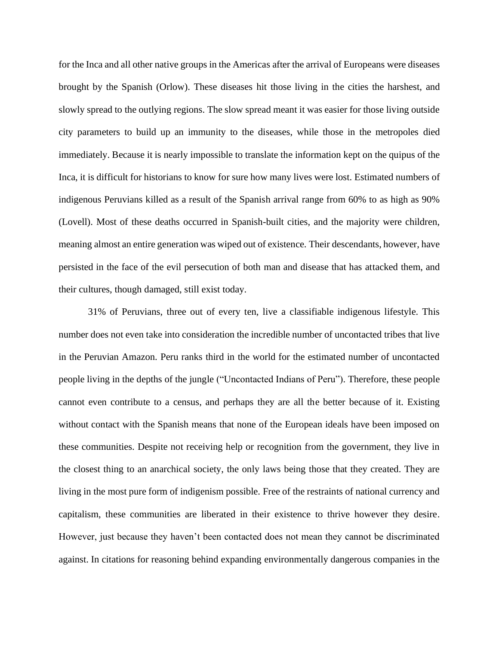for the Inca and all other native groups in the Americas after the arrival of Europeans were diseases brought by the Spanish (Orlow). These diseases hit those living in the cities the harshest, and slowly spread to the outlying regions. The slow spread meant it was easier for those living outside city parameters to build up an immunity to the diseases, while those in the metropoles died immediately. Because it is nearly impossible to translate the information kept on the quipus of the Inca, it is difficult for historians to know for sure how many lives were lost. Estimated numbers of indigenous Peruvians killed as a result of the Spanish arrival range from 60% to as high as 90% (Lovell). Most of these deaths occurred in Spanish-built cities, and the majority were children, meaning almost an entire generation was wiped out of existence. Their descendants, however, have persisted in the face of the evil persecution of both man and disease that has attacked them, and their cultures, though damaged, still exist today.

31% of Peruvians, three out of every ten, live a classifiable indigenous lifestyle. This number does not even take into consideration the incredible number of uncontacted tribes that live in the Peruvian Amazon. Peru ranks third in the world for the estimated number of uncontacted people living in the depths of the jungle ("Uncontacted Indians of Peru"). Therefore, these people cannot even contribute to a census, and perhaps they are all the better because of it. Existing without contact with the Spanish means that none of the European ideals have been imposed on these communities. Despite not receiving help or recognition from the government, they live in the closest thing to an anarchical society, the only laws being those that they created. They are living in the most pure form of indigenism possible. Free of the restraints of national currency and capitalism, these communities are liberated in their existence to thrive however they desire. However, just because they haven't been contacted does not mean they cannot be discriminated against. In citations for reasoning behind expanding environmentally dangerous companies in the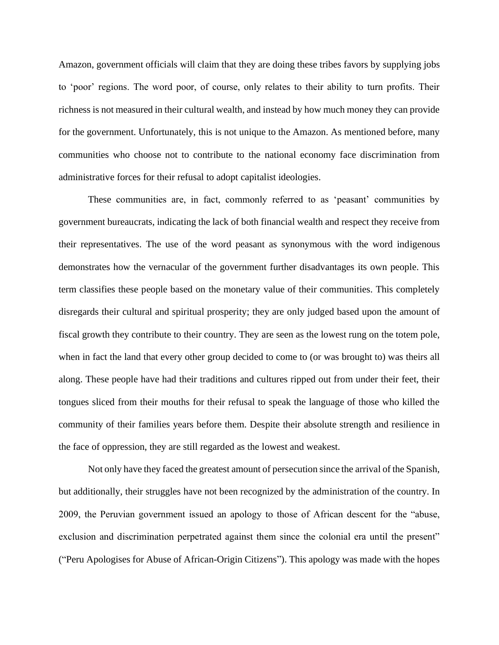Amazon, government officials will claim that they are doing these tribes favors by supplying jobs to 'poor' regions. The word poor, of course, only relates to their ability to turn profits. Their richness is not measured in their cultural wealth, and instead by how much money they can provide for the government. Unfortunately, this is not unique to the Amazon. As mentioned before, many communities who choose not to contribute to the national economy face discrimination from administrative forces for their refusal to adopt capitalist ideologies.

These communities are, in fact, commonly referred to as 'peasant' communities by government bureaucrats, indicating the lack of both financial wealth and respect they receive from their representatives. The use of the word peasant as synonymous with the word indigenous demonstrates how the vernacular of the government further disadvantages its own people. This term classifies these people based on the monetary value of their communities. This completely disregards their cultural and spiritual prosperity; they are only judged based upon the amount of fiscal growth they contribute to their country. They are seen as the lowest rung on the totem pole, when in fact the land that every other group decided to come to (or was brought to) was theirs all along. These people have had their traditions and cultures ripped out from under their feet, their tongues sliced from their mouths for their refusal to speak the language of those who killed the community of their families years before them. Despite their absolute strength and resilience in the face of oppression, they are still regarded as the lowest and weakest.

Not only have they faced the greatest amount of persecution since the arrival of the Spanish, but additionally, their struggles have not been recognized by the administration of the country. In 2009, the Peruvian government issued an apology to those of African descent for the "abuse, exclusion and discrimination perpetrated against them since the colonial era until the present" ("Peru Apologises for Abuse of African-Origin Citizens"). This apology was made with the hopes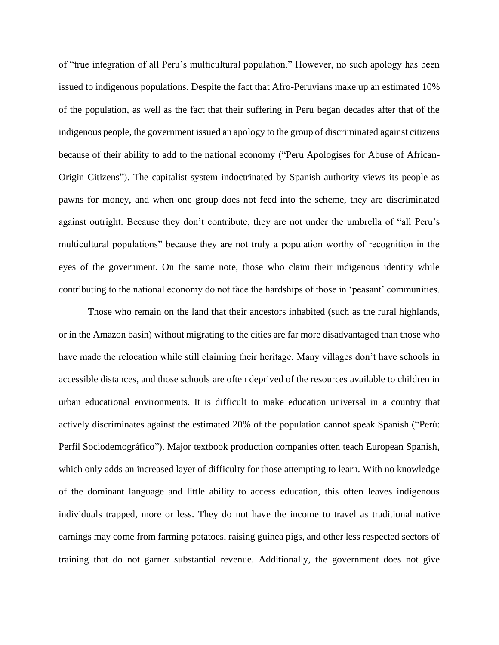of "true integration of all Peru's multicultural population." However, no such apology has been issued to indigenous populations. Despite the fact that Afro-Peruvians make up an estimated 10% of the population, as well as the fact that their suffering in Peru began decades after that of the indigenous people, the government issued an apology to the group of discriminated against citizens because of their ability to add to the national economy ("Peru Apologises for Abuse of African-Origin Citizens"). The capitalist system indoctrinated by Spanish authority views its people as pawns for money, and when one group does not feed into the scheme, they are discriminated against outright. Because they don't contribute, they are not under the umbrella of "all Peru's multicultural populations" because they are not truly a population worthy of recognition in the eyes of the government. On the same note, those who claim their indigenous identity while contributing to the national economy do not face the hardships of those in 'peasant' communities.

Those who remain on the land that their ancestors inhabited (such as the rural highlands, or in the Amazon basin) without migrating to the cities are far more disadvantaged than those who have made the relocation while still claiming their heritage. Many villages don't have schools in accessible distances, and those schools are often deprived of the resources available to children in urban educational environments. It is difficult to make education universal in a country that actively discriminates against the estimated 20% of the population cannot speak Spanish ("Perú: Perfil Sociodemográfico"). Major textbook production companies often teach European Spanish, which only adds an increased layer of difficulty for those attempting to learn. With no knowledge of the dominant language and little ability to access education, this often leaves indigenous individuals trapped, more or less. They do not have the income to travel as traditional native earnings may come from farming potatoes, raising guinea pigs, and other less respected sectors of training that do not garner substantial revenue. Additionally, the government does not give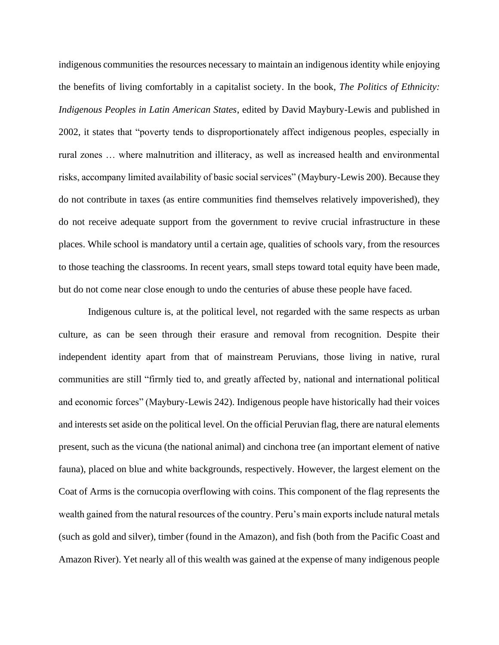indigenous communities the resources necessary to maintain an indigenous identity while enjoying the benefits of living comfortably in a capitalist society. In the book, *The Politics of Ethnicity: Indigenous Peoples in Latin American States*, edited by David Maybury-Lewis and published in 2002, it states that "poverty tends to disproportionately affect indigenous peoples, especially in rural zones … where malnutrition and illiteracy, as well as increased health and environmental risks, accompany limited availability of basic social services" (Maybury-Lewis 200). Because they do not contribute in taxes (as entire communities find themselves relatively impoverished), they do not receive adequate support from the government to revive crucial infrastructure in these places. While school is mandatory until a certain age, qualities of schools vary, from the resources to those teaching the classrooms. In recent years, small steps toward total equity have been made, but do not come near close enough to undo the centuries of abuse these people have faced.

Indigenous culture is, at the political level, not regarded with the same respects as urban culture, as can be seen through their erasure and removal from recognition. Despite their independent identity apart from that of mainstream Peruvians, those living in native, rural communities are still "firmly tied to, and greatly affected by, national and international political and economic forces" (Maybury-Lewis 242). Indigenous people have historically had their voices and interests set aside on the political level. On the official Peruvian flag, there are natural elements present, such as the vicuna (the national animal) and cinchona tree (an important element of native fauna), placed on blue and white backgrounds, respectively. However, the largest element on the Coat of Arms is the cornucopia overflowing with coins. This component of the flag represents the wealth gained from the natural resources of the country. Peru's main exports include natural metals (such as gold and silver), timber (found in the Amazon), and fish (both from the Pacific Coast and Amazon River). Yet nearly all of this wealth was gained at the expense of many indigenous people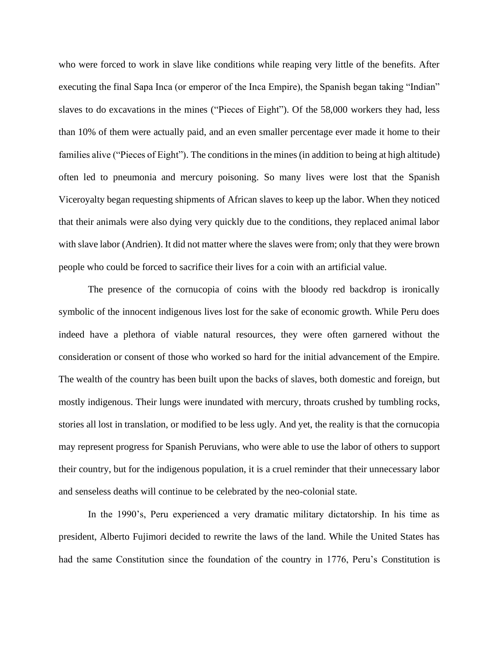who were forced to work in slave like conditions while reaping very little of the benefits. After executing the final Sapa Inca (or emperor of the Inca Empire), the Spanish began taking "Indian" slaves to do excavations in the mines ("Pieces of Eight"). Of the 58,000 workers they had, less than 10% of them were actually paid, and an even smaller percentage ever made it home to their families alive ("Pieces of Eight"). The conditions in the mines (in addition to being at high altitude) often led to pneumonia and mercury poisoning. So many lives were lost that the Spanish Viceroyalty began requesting shipments of African slaves to keep up the labor. When they noticed that their animals were also dying very quickly due to the conditions, they replaced animal labor with slave labor (Andrien). It did not matter where the slaves were from; only that they were brown people who could be forced to sacrifice their lives for a coin with an artificial value.

The presence of the cornucopia of coins with the bloody red backdrop is ironically symbolic of the innocent indigenous lives lost for the sake of economic growth. While Peru does indeed have a plethora of viable natural resources, they were often garnered without the consideration or consent of those who worked so hard for the initial advancement of the Empire. The wealth of the country has been built upon the backs of slaves, both domestic and foreign, but mostly indigenous. Their lungs were inundated with mercury, throats crushed by tumbling rocks, stories all lost in translation, or modified to be less ugly. And yet, the reality is that the cornucopia may represent progress for Spanish Peruvians, who were able to use the labor of others to support their country, but for the indigenous population, it is a cruel reminder that their unnecessary labor and senseless deaths will continue to be celebrated by the neo-colonial state.

In the 1990's, Peru experienced a very dramatic military dictatorship. In his time as president, Alberto Fujimori decided to rewrite the laws of the land. While the United States has had the same Constitution since the foundation of the country in 1776, Peru's Constitution is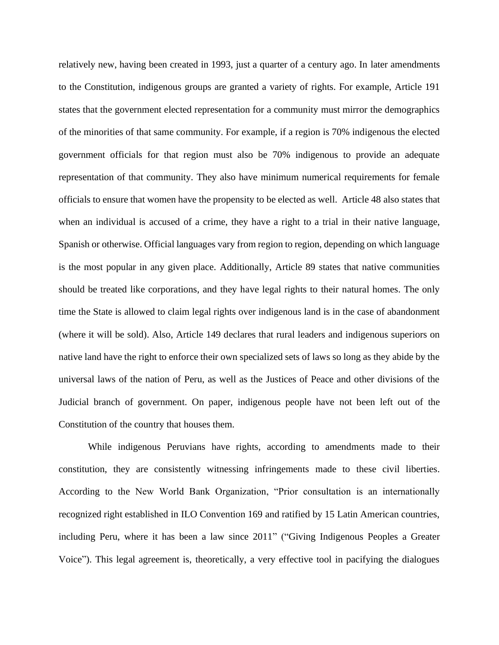relatively new, having been created in 1993, just a quarter of a century ago. In later amendments to the Constitution, indigenous groups are granted a variety of rights. For example, Article 191 states that the government elected representation for a community must mirror the demographics of the minorities of that same community. For example, if a region is 70% indigenous the elected government officials for that region must also be 70% indigenous to provide an adequate representation of that community. They also have minimum numerical requirements for female officials to ensure that women have the propensity to be elected as well. Article 48 also states that when an individual is accused of a crime, they have a right to a trial in their native language, Spanish or otherwise. Official languages vary from region to region, depending on which language is the most popular in any given place. Additionally, Article 89 states that native communities should be treated like corporations, and they have legal rights to their natural homes. The only time the State is allowed to claim legal rights over indigenous land is in the case of abandonment (where it will be sold). Also, Article 149 declares that rural leaders and indigenous superiors on native land have the right to enforce their own specialized sets of laws so long as they abide by the universal laws of the nation of Peru, as well as the Justices of Peace and other divisions of the Judicial branch of government. On paper, indigenous people have not been left out of the Constitution of the country that houses them.

While indigenous Peruvians have rights, according to amendments made to their constitution, they are consistently witnessing infringements made to these civil liberties. According to the New World Bank Organization, "Prior consultation is an internationally recognized right established in ILO Convention 169 and ratified by 15 Latin American countries, including Peru, where it has been a law since 2011" ("Giving Indigenous Peoples a Greater Voice"). This legal agreement is, theoretically, a very effective tool in pacifying the dialogues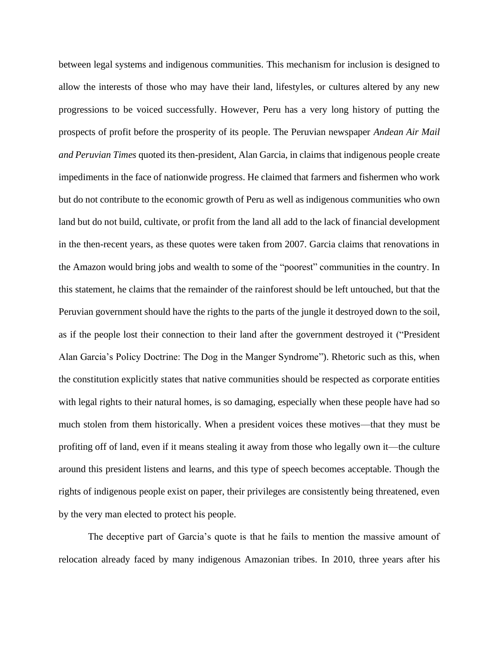between legal systems and indigenous communities. This mechanism for inclusion is designed to allow the interests of those who may have their land, lifestyles, or cultures altered by any new progressions to be voiced successfully. However, Peru has a very long history of putting the prospects of profit before the prosperity of its people. The Peruvian newspaper *Andean Air Mail and Peruvian Times* quoted its then-president, Alan Garcia, in claims that indigenous people create impediments in the face of nationwide progress. He claimed that farmers and fishermen who work but do not contribute to the economic growth of Peru as well as indigenous communities who own land but do not build, cultivate, or profit from the land all add to the lack of financial development in the then-recent years, as these quotes were taken from 2007. Garcia claims that renovations in the Amazon would bring jobs and wealth to some of the "poorest" communities in the country. In this statement, he claims that the remainder of the rainforest should be left untouched, but that the Peruvian government should have the rights to the parts of the jungle it destroyed down to the soil, as if the people lost their connection to their land after the government destroyed it ("President Alan Garcia's Policy Doctrine: The Dog in the Manger Syndrome"). Rhetoric such as this, when the constitution explicitly states that native communities should be respected as corporate entities with legal rights to their natural homes, is so damaging, especially when these people have had so much stolen from them historically. When a president voices these motives—that they must be profiting off of land, even if it means stealing it away from those who legally own it—the culture around this president listens and learns, and this type of speech becomes acceptable. Though the rights of indigenous people exist on paper, their privileges are consistently being threatened, even by the very man elected to protect his people.

The deceptive part of Garcia's quote is that he fails to mention the massive amount of relocation already faced by many indigenous Amazonian tribes. In 2010, three years after his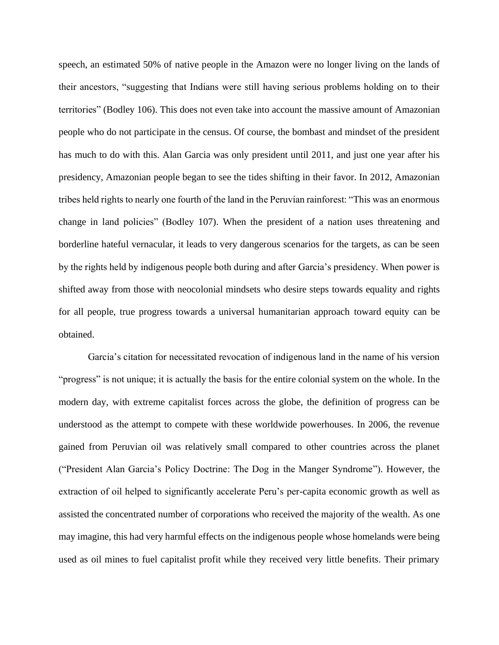speech, an estimated 50% of native people in the Amazon were no longer living on the lands of their ancestors, "suggesting that Indians were still having serious problems holding on to their territories" (Bodley 106). This does not even take into account the massive amount of Amazonian people who do not participate in the census. Of course, the bombast and mindset of the president has much to do with this. Alan Garcia was only president until 2011, and just one year after his presidency, Amazonian people began to see the tides shifting in their favor. In 2012, Amazonian tribes held rights to nearly one fourth of the land in the Peruvian rainforest: "This was an enormous change in land policies" (Bodley 107). When the president of a nation uses threatening and borderline hateful vernacular, it leads to very dangerous scenarios for the targets, as can be seen by the rights held by indigenous people both during and after Garcia's presidency. When power is shifted away from those with neocolonial mindsets who desire steps towards equality and rights for all people, true progress towards a universal humanitarian approach toward equity can be obtained.

Garcia's citation for necessitated revocation of indigenous land in the name of his version "progress" is not unique; it is actually the basis for the entire colonial system on the whole. In the modern day, with extreme capitalist forces across the globe, the definition of progress can be understood as the attempt to compete with these worldwide powerhouses. In 2006, the revenue gained from Peruvian oil was relatively small compared to other countries across the planet ("President Alan Garcia's Policy Doctrine: The Dog in the Manger Syndrome"). However, the extraction of oil helped to significantly accelerate Peru's per-capita economic growth as well as assisted the concentrated number of corporations who received the majority of the wealth. As one may imagine, this had very harmful effects on the indigenous people whose homelands were being used as oil mines to fuel capitalist profit while they received very little benefits. Their primary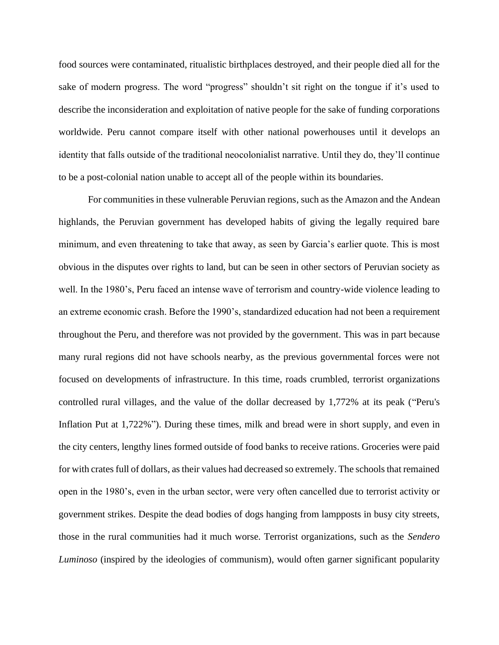food sources were contaminated, ritualistic birthplaces destroyed, and their people died all for the sake of modern progress. The word "progress" shouldn't sit right on the tongue if it's used to describe the inconsideration and exploitation of native people for the sake of funding corporations worldwide. Peru cannot compare itself with other national powerhouses until it develops an identity that falls outside of the traditional neocolonialist narrative. Until they do, they'll continue to be a post-colonial nation unable to accept all of the people within its boundaries.

For communities in these vulnerable Peruvian regions, such as the Amazon and the Andean highlands, the Peruvian government has developed habits of giving the legally required bare minimum, and even threatening to take that away, as seen by Garcia's earlier quote. This is most obvious in the disputes over rights to land, but can be seen in other sectors of Peruvian society as well. In the 1980's, Peru faced an intense wave of terrorism and country-wide violence leading to an extreme economic crash. Before the 1990's, standardized education had not been a requirement throughout the Peru, and therefore was not provided by the government. This was in part because many rural regions did not have schools nearby, as the previous governmental forces were not focused on developments of infrastructure. In this time, roads crumbled, terrorist organizations controlled rural villages, and the value of the dollar decreased by 1,772% at its peak ("Peru's Inflation Put at 1,722%"). During these times, milk and bread were in short supply, and even in the city centers, lengthy lines formed outside of food banks to receive rations. Groceries were paid for with crates full of dollars, as their values had decreased so extremely. The schools that remained open in the 1980's, even in the urban sector, were very often cancelled due to terrorist activity or government strikes. Despite the dead bodies of dogs hanging from lampposts in busy city streets, those in the rural communities had it much worse. Terrorist organizations, such as the *Sendero Luminoso* (inspired by the ideologies of communism), would often garner significant popularity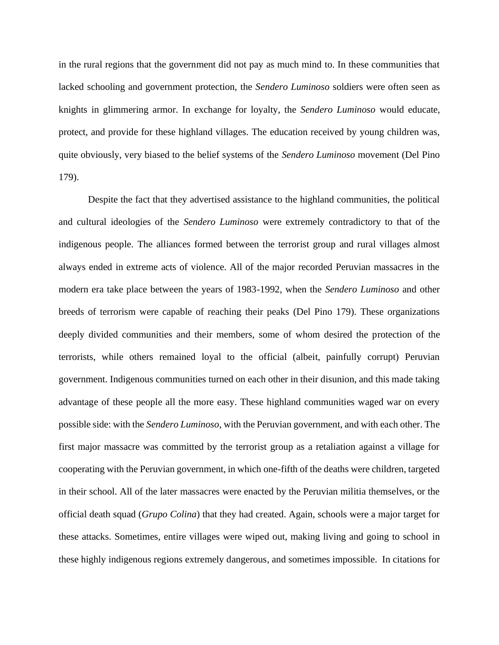in the rural regions that the government did not pay as much mind to. In these communities that lacked schooling and government protection, the *Sendero Luminoso* soldiers were often seen as knights in glimmering armor. In exchange for loyalty, the *Sendero Luminoso* would educate, protect, and provide for these highland villages. The education received by young children was, quite obviously, very biased to the belief systems of the *Sendero Luminoso* movement (Del Pino 179).

Despite the fact that they advertised assistance to the highland communities, the political and cultural ideologies of the *Sendero Luminoso* were extremely contradictory to that of the indigenous people. The alliances formed between the terrorist group and rural villages almost always ended in extreme acts of violence. All of the major recorded Peruvian massacres in the modern era take place between the years of 1983-1992, when the *Sendero Luminoso* and other breeds of terrorism were capable of reaching their peaks (Del Pino 179). These organizations deeply divided communities and their members, some of whom desired the protection of the terrorists, while others remained loyal to the official (albeit, painfully corrupt) Peruvian government. Indigenous communities turned on each other in their disunion, and this made taking advantage of these people all the more easy. These highland communities waged war on every possible side: with the *Sendero Luminoso*, with the Peruvian government, and with each other. The first major massacre was committed by the terrorist group as a retaliation against a village for cooperating with the Peruvian government, in which one-fifth of the deaths were children, targeted in their school. All of the later massacres were enacted by the Peruvian militia themselves, or the official death squad (*Grupo Colina*) that they had created. Again, schools were a major target for these attacks. Sometimes, entire villages were wiped out, making living and going to school in these highly indigenous regions extremely dangerous, and sometimes impossible. In citations for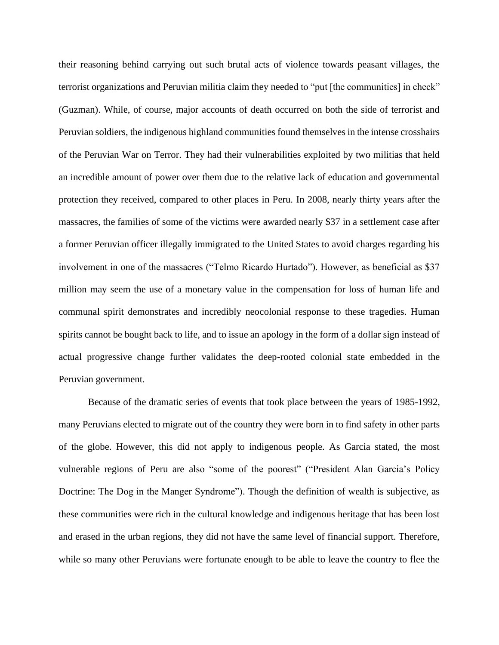their reasoning behind carrying out such brutal acts of violence towards peasant villages, the terrorist organizations and Peruvian militia claim they needed to "put [the communities] in check" (Guzman). While, of course, major accounts of death occurred on both the side of terrorist and Peruvian soldiers, the indigenous highland communities found themselves in the intense crosshairs of the Peruvian War on Terror. They had their vulnerabilities exploited by two militias that held an incredible amount of power over them due to the relative lack of education and governmental protection they received, compared to other places in Peru. In 2008, nearly thirty years after the massacres, the families of some of the victims were awarded nearly \$37 in a settlement case after a former Peruvian officer illegally immigrated to the United States to avoid charges regarding his involvement in one of the massacres ("Telmo Ricardo Hurtado"). However, as beneficial as \$37 million may seem the use of a monetary value in the compensation for loss of human life and communal spirit demonstrates and incredibly neocolonial response to these tragedies. Human spirits cannot be bought back to life, and to issue an apology in the form of a dollar sign instead of actual progressive change further validates the deep-rooted colonial state embedded in the Peruvian government.

Because of the dramatic series of events that took place between the years of 1985-1992, many Peruvians elected to migrate out of the country they were born in to find safety in other parts of the globe. However, this did not apply to indigenous people. As Garcia stated, the most vulnerable regions of Peru are also "some of the poorest" ("President Alan Garcia's Policy Doctrine: The Dog in the Manger Syndrome"). Though the definition of wealth is subjective, as these communities were rich in the cultural knowledge and indigenous heritage that has been lost and erased in the urban regions, they did not have the same level of financial support. Therefore, while so many other Peruvians were fortunate enough to be able to leave the country to flee the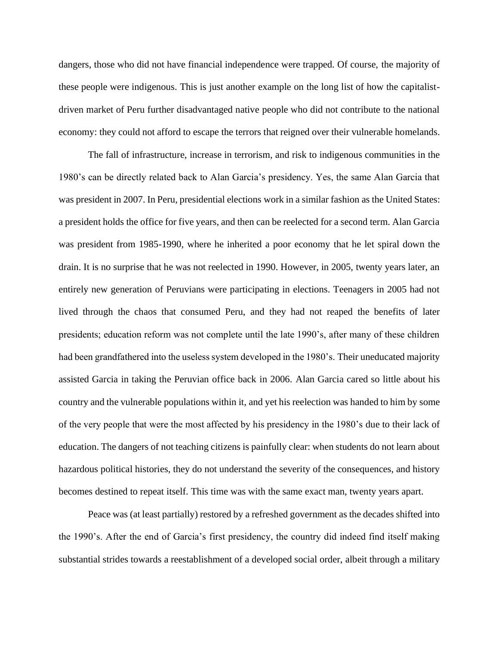dangers, those who did not have financial independence were trapped. Of course, the majority of these people were indigenous. This is just another example on the long list of how the capitalistdriven market of Peru further disadvantaged native people who did not contribute to the national economy: they could not afford to escape the terrors that reigned over their vulnerable homelands.

The fall of infrastructure, increase in terrorism, and risk to indigenous communities in the 1980's can be directly related back to Alan Garcia's presidency. Yes, the same Alan Garcia that was president in 2007. In Peru, presidential elections work in a similar fashion as the United States: a president holds the office for five years, and then can be reelected for a second term. Alan Garcia was president from 1985-1990, where he inherited a poor economy that he let spiral down the drain. It is no surprise that he was not reelected in 1990. However, in 2005, twenty years later, an entirely new generation of Peruvians were participating in elections. Teenagers in 2005 had not lived through the chaos that consumed Peru, and they had not reaped the benefits of later presidents; education reform was not complete until the late 1990's, after many of these children had been grandfathered into the useless system developed in the 1980's. Their uneducated majority assisted Garcia in taking the Peruvian office back in 2006. Alan Garcia cared so little about his country and the vulnerable populations within it, and yet his reelection was handed to him by some of the very people that were the most affected by his presidency in the 1980's due to their lack of education. The dangers of not teaching citizens is painfully clear: when students do not learn about hazardous political histories, they do not understand the severity of the consequences, and history becomes destined to repeat itself. This time was with the same exact man, twenty years apart.

Peace was (at least partially) restored by a refreshed government as the decades shifted into the 1990's. After the end of Garcia's first presidency, the country did indeed find itself making substantial strides towards a reestablishment of a developed social order, albeit through a military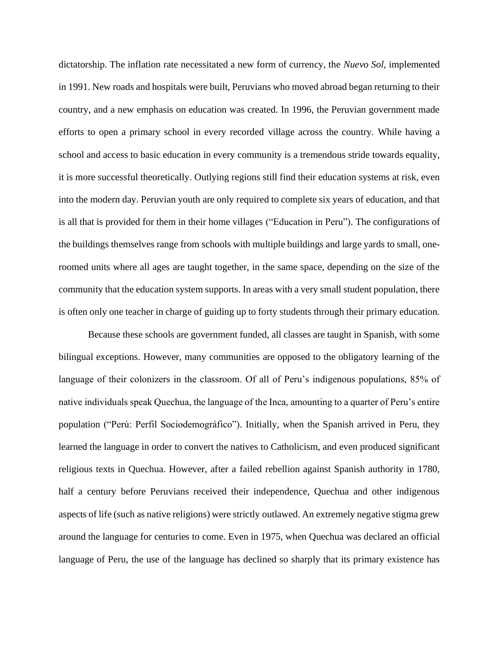dictatorship. The inflation rate necessitated a new form of currency, the *Nuevo Sol*, implemented in 1991. New roads and hospitals were built, Peruvians who moved abroad began returning to their country, and a new emphasis on education was created. In 1996, the Peruvian government made efforts to open a primary school in every recorded village across the country. While having a school and access to basic education in every community is a tremendous stride towards equality, it is more successful theoretically. Outlying regions still find their education systems at risk, even into the modern day. Peruvian youth are only required to complete six years of education, and that is all that is provided for them in their home villages ("Education in Peru"). The configurations of the buildings themselves range from schools with multiple buildings and large yards to small, oneroomed units where all ages are taught together, in the same space, depending on the size of the community that the education system supports. In areas with a very small student population, there is often only one teacher in charge of guiding up to forty students through their primary education.

Because these schools are government funded, all classes are taught in Spanish, with some bilingual exceptions. However, many communities are opposed to the obligatory learning of the language of their colonizers in the classroom. Of all of Peru's indigenous populations, 85% of native individuals speak Quechua, the language of the Inca, amounting to a quarter of Peru's entire population ("Perú: Perfil Sociodemográfico"). Initially, when the Spanish arrived in Peru, they learned the language in order to convert the natives to Catholicism, and even produced significant religious texts in Quechua. However, after a failed rebellion against Spanish authority in 1780, half a century before Peruvians received their independence, Quechua and other indigenous aspects of life (such as native religions) were strictly outlawed. An extremely negative stigma grew around the language for centuries to come. Even in 1975, when Quechua was declared an official language of Peru, the use of the language has declined so sharply that its primary existence has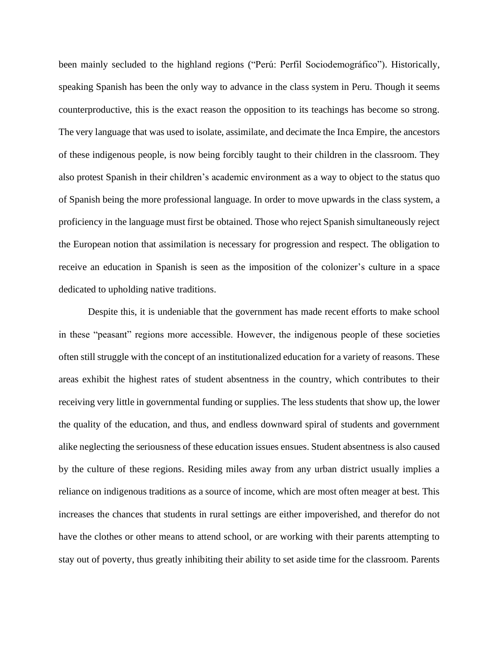been mainly secluded to the highland regions ("Perú: Perfil Sociodemográfico"). Historically, speaking Spanish has been the only way to advance in the class system in Peru. Though it seems counterproductive, this is the exact reason the opposition to its teachings has become so strong. The very language that was used to isolate, assimilate, and decimate the Inca Empire, the ancestors of these indigenous people, is now being forcibly taught to their children in the classroom. They also protest Spanish in their children's academic environment as a way to object to the status quo of Spanish being the more professional language. In order to move upwards in the class system, a proficiency in the language must first be obtained. Those who reject Spanish simultaneously reject the European notion that assimilation is necessary for progression and respect. The obligation to receive an education in Spanish is seen as the imposition of the colonizer's culture in a space dedicated to upholding native traditions.

Despite this, it is undeniable that the government has made recent efforts to make school in these "peasant" regions more accessible. However, the indigenous people of these societies often still struggle with the concept of an institutionalized education for a variety of reasons. These areas exhibit the highest rates of student absentness in the country, which contributes to their receiving very little in governmental funding or supplies. The less students that show up, the lower the quality of the education, and thus, and endless downward spiral of students and government alike neglecting the seriousness of these education issues ensues. Student absentness is also caused by the culture of these regions. Residing miles away from any urban district usually implies a reliance on indigenous traditions as a source of income, which are most often meager at best. This increases the chances that students in rural settings are either impoverished, and therefor do not have the clothes or other means to attend school, or are working with their parents attempting to stay out of poverty, thus greatly inhibiting their ability to set aside time for the classroom. Parents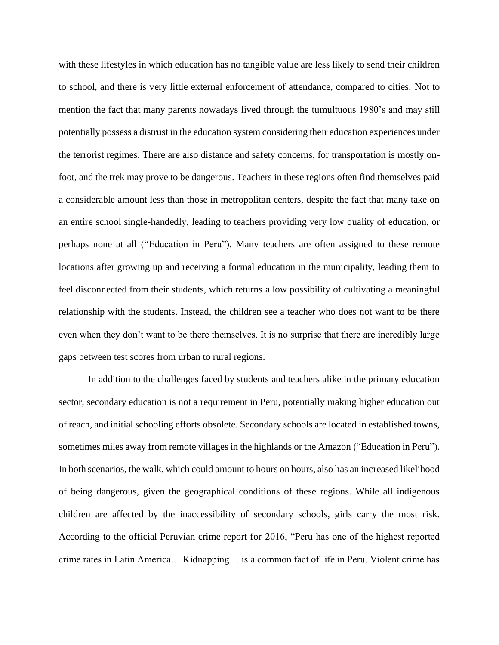with these lifestyles in which education has no tangible value are less likely to send their children to school, and there is very little external enforcement of attendance, compared to cities. Not to mention the fact that many parents nowadays lived through the tumultuous 1980's and may still potentially possess a distrust in the education system considering their education experiences under the terrorist regimes. There are also distance and safety concerns, for transportation is mostly onfoot, and the trek may prove to be dangerous. Teachers in these regions often find themselves paid a considerable amount less than those in metropolitan centers, despite the fact that many take on an entire school single-handedly, leading to teachers providing very low quality of education, or perhaps none at all ("Education in Peru"). Many teachers are often assigned to these remote locations after growing up and receiving a formal education in the municipality, leading them to feel disconnected from their students, which returns a low possibility of cultivating a meaningful relationship with the students. Instead, the children see a teacher who does not want to be there even when they don't want to be there themselves. It is no surprise that there are incredibly large gaps between test scores from urban to rural regions.

In addition to the challenges faced by students and teachers alike in the primary education sector, secondary education is not a requirement in Peru, potentially making higher education out of reach, and initial schooling efforts obsolete. Secondary schools are located in established towns, sometimes miles away from remote villages in the highlands or the Amazon ("Education in Peru"). In both scenarios, the walk, which could amount to hours on hours, also has an increased likelihood of being dangerous, given the geographical conditions of these regions. While all indigenous children are affected by the inaccessibility of secondary schools, girls carry the most risk. According to the official Peruvian crime report for 2016, "Peru has one of the highest reported crime rates in Latin America… Kidnapping… is a common fact of life in Peru. Violent crime has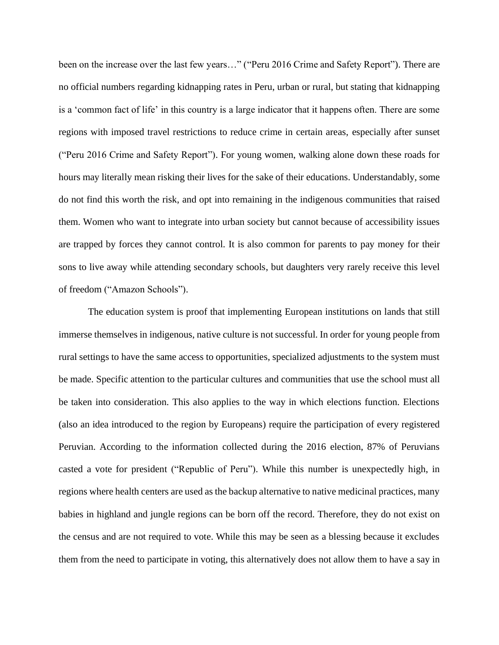been on the increase over the last few years…" ("Peru 2016 Crime and Safety Report"). There are no official numbers regarding kidnapping rates in Peru, urban or rural, but stating that kidnapping is a 'common fact of life' in this country is a large indicator that it happens often. There are some regions with imposed travel restrictions to reduce crime in certain areas, especially after sunset ("Peru 2016 Crime and Safety Report"). For young women, walking alone down these roads for hours may literally mean risking their lives for the sake of their educations. Understandably, some do not find this worth the risk, and opt into remaining in the indigenous communities that raised them. Women who want to integrate into urban society but cannot because of accessibility issues are trapped by forces they cannot control. It is also common for parents to pay money for their sons to live away while attending secondary schools, but daughters very rarely receive this level of freedom ("Amazon Schools").

The education system is proof that implementing European institutions on lands that still immerse themselves in indigenous, native culture is not successful. In order for young people from rural settings to have the same access to opportunities, specialized adjustments to the system must be made. Specific attention to the particular cultures and communities that use the school must all be taken into consideration. This also applies to the way in which elections function. Elections (also an idea introduced to the region by Europeans) require the participation of every registered Peruvian. According to the information collected during the 2016 election, 87% of Peruvians casted a vote for president ("Republic of Peru"). While this number is unexpectedly high, in regions where health centers are used as the backup alternative to native medicinal practices, many babies in highland and jungle regions can be born off the record. Therefore, they do not exist on the census and are not required to vote. While this may be seen as a blessing because it excludes them from the need to participate in voting, this alternatively does not allow them to have a say in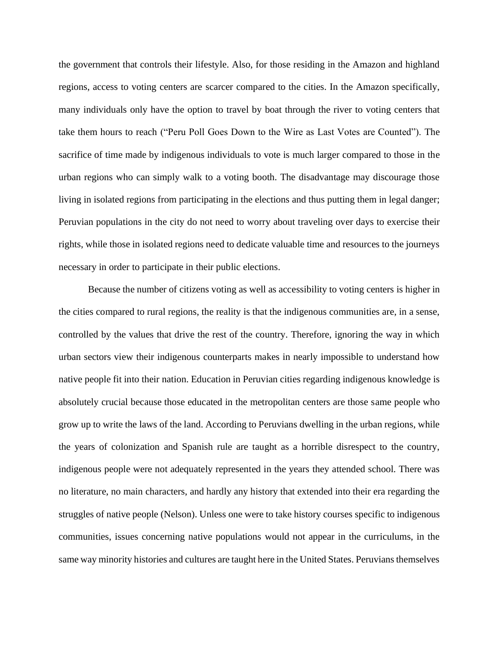the government that controls their lifestyle. Also, for those residing in the Amazon and highland regions, access to voting centers are scarcer compared to the cities. In the Amazon specifically, many individuals only have the option to travel by boat through the river to voting centers that take them hours to reach ("Peru Poll Goes Down to the Wire as Last Votes are Counted"). The sacrifice of time made by indigenous individuals to vote is much larger compared to those in the urban regions who can simply walk to a voting booth. The disadvantage may discourage those living in isolated regions from participating in the elections and thus putting them in legal danger; Peruvian populations in the city do not need to worry about traveling over days to exercise their rights, while those in isolated regions need to dedicate valuable time and resources to the journeys necessary in order to participate in their public elections.

Because the number of citizens voting as well as accessibility to voting centers is higher in the cities compared to rural regions, the reality is that the indigenous communities are, in a sense, controlled by the values that drive the rest of the country. Therefore, ignoring the way in which urban sectors view their indigenous counterparts makes in nearly impossible to understand how native people fit into their nation. Education in Peruvian cities regarding indigenous knowledge is absolutely crucial because those educated in the metropolitan centers are those same people who grow up to write the laws of the land. According to Peruvians dwelling in the urban regions, while the years of colonization and Spanish rule are taught as a horrible disrespect to the country, indigenous people were not adequately represented in the years they attended school. There was no literature, no main characters, and hardly any history that extended into their era regarding the struggles of native people (Nelson). Unless one were to take history courses specific to indigenous communities, issues concerning native populations would not appear in the curriculums, in the same way minority histories and cultures are taught here in the United States. Peruvians themselves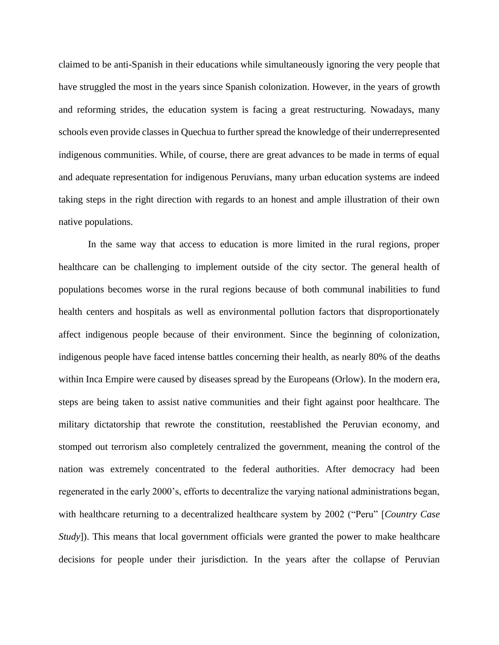claimed to be anti-Spanish in their educations while simultaneously ignoring the very people that have struggled the most in the years since Spanish colonization. However, in the years of growth and reforming strides, the education system is facing a great restructuring. Nowadays, many schools even provide classes in Quechua to further spread the knowledge of their underrepresented indigenous communities. While, of course, there are great advances to be made in terms of equal and adequate representation for indigenous Peruvians, many urban education systems are indeed taking steps in the right direction with regards to an honest and ample illustration of their own native populations.

In the same way that access to education is more limited in the rural regions, proper healthcare can be challenging to implement outside of the city sector. The general health of populations becomes worse in the rural regions because of both communal inabilities to fund health centers and hospitals as well as environmental pollution factors that disproportionately affect indigenous people because of their environment. Since the beginning of colonization, indigenous people have faced intense battles concerning their health, as nearly 80% of the deaths within Inca Empire were caused by diseases spread by the Europeans (Orlow). In the modern era, steps are being taken to assist native communities and their fight against poor healthcare. The military dictatorship that rewrote the constitution, reestablished the Peruvian economy, and stomped out terrorism also completely centralized the government, meaning the control of the nation was extremely concentrated to the federal authorities. After democracy had been regenerated in the early 2000's, efforts to decentralize the varying national administrations began, with healthcare returning to a decentralized healthcare system by 2002 ("Peru" [*Country Case Study*]). This means that local government officials were granted the power to make healthcare decisions for people under their jurisdiction. In the years after the collapse of Peruvian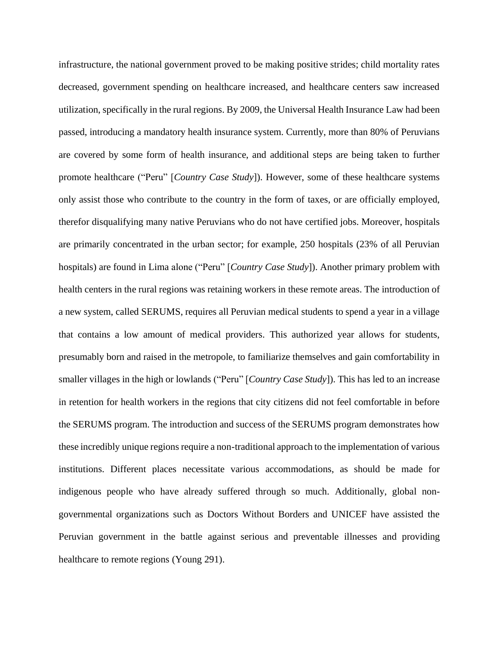infrastructure, the national government proved to be making positive strides; child mortality rates decreased, government spending on healthcare increased, and healthcare centers saw increased utilization, specifically in the rural regions. By 2009, the Universal Health Insurance Law had been passed, introducing a mandatory health insurance system. Currently, more than 80% of Peruvians are covered by some form of health insurance, and additional steps are being taken to further promote healthcare ("Peru" [*Country Case Study*]). However, some of these healthcare systems only assist those who contribute to the country in the form of taxes, or are officially employed, therefor disqualifying many native Peruvians who do not have certified jobs. Moreover, hospitals are primarily concentrated in the urban sector; for example, 250 hospitals (23% of all Peruvian hospitals) are found in Lima alone ("Peru" [*Country Case Study*]). Another primary problem with health centers in the rural regions was retaining workers in these remote areas. The introduction of a new system, called SERUMS, requires all Peruvian medical students to spend a year in a village that contains a low amount of medical providers. This authorized year allows for students, presumably born and raised in the metropole, to familiarize themselves and gain comfortability in smaller villages in the high or lowlands ("Peru" [*Country Case Study*]). This has led to an increase in retention for health workers in the regions that city citizens did not feel comfortable in before the SERUMS program. The introduction and success of the SERUMS program demonstrates how these incredibly unique regions require a non-traditional approach to the implementation of various institutions. Different places necessitate various accommodations, as should be made for indigenous people who have already suffered through so much. Additionally, global nongovernmental organizations such as Doctors Without Borders and UNICEF have assisted the Peruvian government in the battle against serious and preventable illnesses and providing healthcare to remote regions (Young 291).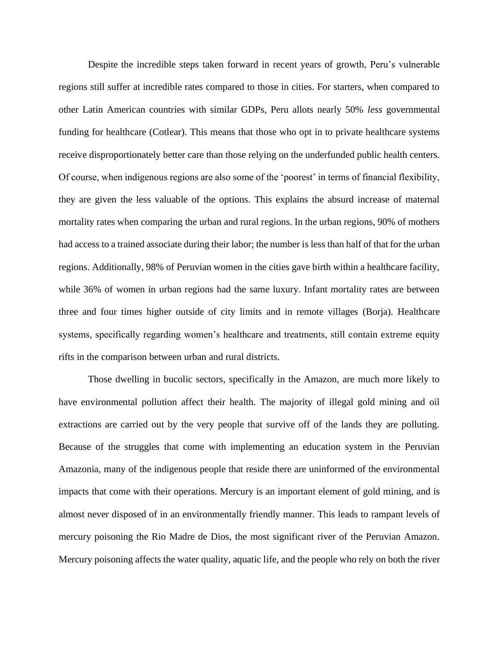Despite the incredible steps taken forward in recent years of growth, Peru's vulnerable regions still suffer at incredible rates compared to those in cities. For starters, when compared to other Latin American countries with similar GDPs, Peru allots nearly 50% *less* governmental funding for healthcare (Cotlear). This means that those who opt in to private healthcare systems receive disproportionately better care than those relying on the underfunded public health centers. Of course, when indigenous regions are also some of the 'poorest' in terms of financial flexibility, they are given the less valuable of the options. This explains the absurd increase of maternal mortality rates when comparing the urban and rural regions. In the urban regions, 90% of mothers had access to a trained associate during their labor; the number is less than half of that for the urban regions. Additionally, 98% of Peruvian women in the cities gave birth within a healthcare facility, while 36% of women in urban regions had the same luxury. Infant mortality rates are between three and four times higher outside of city limits and in remote villages (Borja). Healthcare systems, specifically regarding women's healthcare and treatments, still contain extreme equity rifts in the comparison between urban and rural districts.

Those dwelling in bucolic sectors, specifically in the Amazon, are much more likely to have environmental pollution affect their health. The majority of illegal gold mining and oil extractions are carried out by the very people that survive off of the lands they are polluting. Because of the struggles that come with implementing an education system in the Peruvian Amazonia, many of the indigenous people that reside there are uninformed of the environmental impacts that come with their operations. Mercury is an important element of gold mining, and is almost never disposed of in an environmentally friendly manner. This leads to rampant levels of mercury poisoning the Rio Madre de Dios, the most significant river of the Peruvian Amazon. Mercury poisoning affects the water quality, aquatic life, and the people who rely on both the river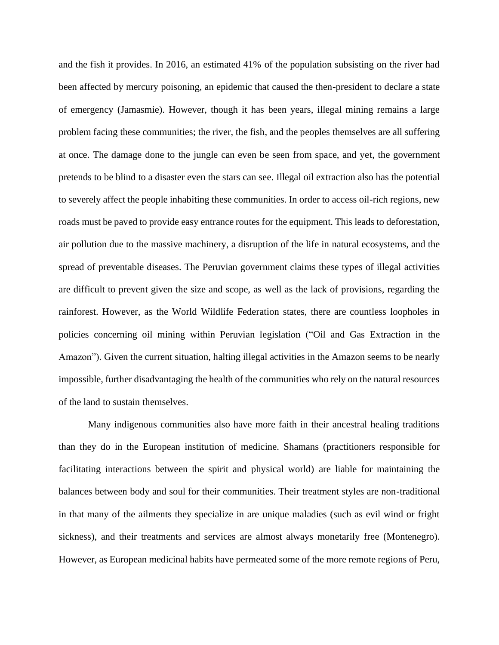and the fish it provides. In 2016, an estimated 41% of the population subsisting on the river had been affected by mercury poisoning, an epidemic that caused the then-president to declare a state of emergency (Jamasmie). However, though it has been years, illegal mining remains a large problem facing these communities; the river, the fish, and the peoples themselves are all suffering at once. The damage done to the jungle can even be seen from space, and yet, the government pretends to be blind to a disaster even the stars can see. Illegal oil extraction also has the potential to severely affect the people inhabiting these communities. In order to access oil-rich regions, new roads must be paved to provide easy entrance routes for the equipment. This leads to deforestation, air pollution due to the massive machinery, a disruption of the life in natural ecosystems, and the spread of preventable diseases. The Peruvian government claims these types of illegal activities are difficult to prevent given the size and scope, as well as the lack of provisions, regarding the rainforest. However, as the World Wildlife Federation states, there are countless loopholes in policies concerning oil mining within Peruvian legislation ("Oil and Gas Extraction in the Amazon"). Given the current situation, halting illegal activities in the Amazon seems to be nearly impossible, further disadvantaging the health of the communities who rely on the natural resources of the land to sustain themselves.

Many indigenous communities also have more faith in their ancestral healing traditions than they do in the European institution of medicine. Shamans (practitioners responsible for facilitating interactions between the spirit and physical world) are liable for maintaining the balances between body and soul for their communities. Their treatment styles are non-traditional in that many of the ailments they specialize in are unique maladies (such as evil wind or fright sickness), and their treatments and services are almost always monetarily free (Montenegro). However, as European medicinal habits have permeated some of the more remote regions of Peru,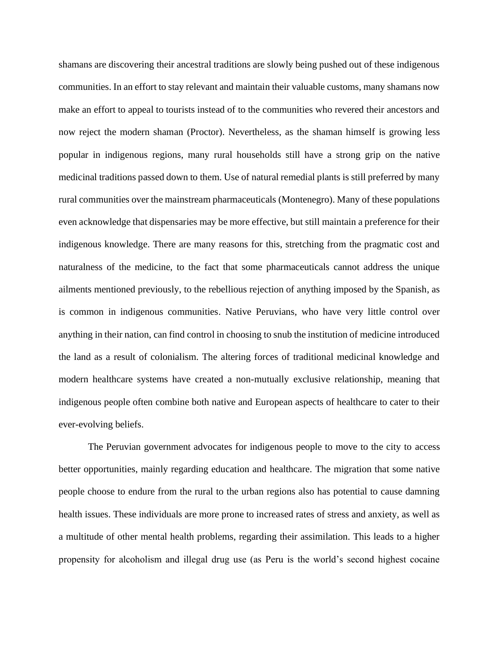shamans are discovering their ancestral traditions are slowly being pushed out of these indigenous communities. In an effort to stay relevant and maintain their valuable customs, many shamans now make an effort to appeal to tourists instead of to the communities who revered their ancestors and now reject the modern shaman (Proctor). Nevertheless, as the shaman himself is growing less popular in indigenous regions, many rural households still have a strong grip on the native medicinal traditions passed down to them. Use of natural remedial plants is still preferred by many rural communities over the mainstream pharmaceuticals (Montenegro). Many of these populations even acknowledge that dispensaries may be more effective, but still maintain a preference for their indigenous knowledge. There are many reasons for this, stretching from the pragmatic cost and naturalness of the medicine, to the fact that some pharmaceuticals cannot address the unique ailments mentioned previously, to the rebellious rejection of anything imposed by the Spanish, as is common in indigenous communities. Native Peruvians, who have very little control over anything in their nation, can find control in choosing to snub the institution of medicine introduced the land as a result of colonialism. The altering forces of traditional medicinal knowledge and modern healthcare systems have created a non-mutually exclusive relationship, meaning that indigenous people often combine both native and European aspects of healthcare to cater to their ever-evolving beliefs.

The Peruvian government advocates for indigenous people to move to the city to access better opportunities, mainly regarding education and healthcare. The migration that some native people choose to endure from the rural to the urban regions also has potential to cause damning health issues. These individuals are more prone to increased rates of stress and anxiety, as well as a multitude of other mental health problems, regarding their assimilation. This leads to a higher propensity for alcoholism and illegal drug use (as Peru is the world's second highest cocaine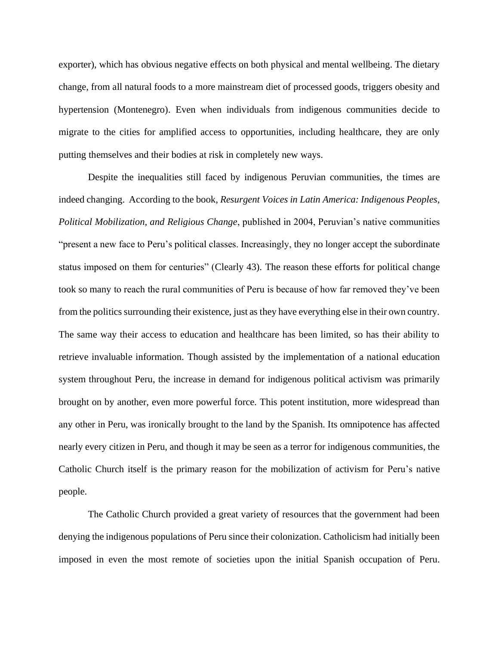exporter), which has obvious negative effects on both physical and mental wellbeing. The dietary change, from all natural foods to a more mainstream diet of processed goods, triggers obesity and hypertension (Montenegro). Even when individuals from indigenous communities decide to migrate to the cities for amplified access to opportunities, including healthcare, they are only putting themselves and their bodies at risk in completely new ways.

Despite the inequalities still faced by indigenous Peruvian communities, the times are indeed changing. According to the book, *Resurgent Voices in Latin America: Indigenous Peoples, Political Mobilization, and Religious Change*, published in 2004, Peruvian's native communities "present a new face to Peru's political classes. Increasingly, they no longer accept the subordinate status imposed on them for centuries" (Clearly 43). The reason these efforts for political change took so many to reach the rural communities of Peru is because of how far removed they've been from the politics surrounding their existence, just as they have everything else in their own country. The same way their access to education and healthcare has been limited, so has their ability to retrieve invaluable information. Though assisted by the implementation of a national education system throughout Peru, the increase in demand for indigenous political activism was primarily brought on by another, even more powerful force. This potent institution, more widespread than any other in Peru, was ironically brought to the land by the Spanish. Its omnipotence has affected nearly every citizen in Peru, and though it may be seen as a terror for indigenous communities, the Catholic Church itself is the primary reason for the mobilization of activism for Peru's native people.

The Catholic Church provided a great variety of resources that the government had been denying the indigenous populations of Peru since their colonization. Catholicism had initially been imposed in even the most remote of societies upon the initial Spanish occupation of Peru.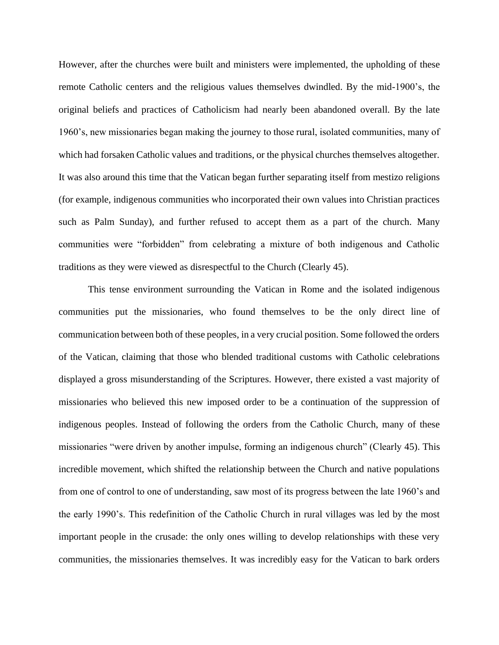However, after the churches were built and ministers were implemented, the upholding of these remote Catholic centers and the religious values themselves dwindled. By the mid-1900's, the original beliefs and practices of Catholicism had nearly been abandoned overall. By the late 1960's, new missionaries began making the journey to those rural, isolated communities, many of which had forsaken Catholic values and traditions, or the physical churches themselves altogether. It was also around this time that the Vatican began further separating itself from mestizo religions (for example, indigenous communities who incorporated their own values into Christian practices such as Palm Sunday), and further refused to accept them as a part of the church. Many communities were "forbidden" from celebrating a mixture of both indigenous and Catholic traditions as they were viewed as disrespectful to the Church (Clearly 45).

This tense environment surrounding the Vatican in Rome and the isolated indigenous communities put the missionaries, who found themselves to be the only direct line of communication between both of these peoples, in a very crucial position. Some followed the orders of the Vatican, claiming that those who blended traditional customs with Catholic celebrations displayed a gross misunderstanding of the Scriptures. However, there existed a vast majority of missionaries who believed this new imposed order to be a continuation of the suppression of indigenous peoples. Instead of following the orders from the Catholic Church, many of these missionaries "were driven by another impulse, forming an indigenous church" (Clearly 45). This incredible movement, which shifted the relationship between the Church and native populations from one of control to one of understanding, saw most of its progress between the late 1960's and the early 1990's. This redefinition of the Catholic Church in rural villages was led by the most important people in the crusade: the only ones willing to develop relationships with these very communities, the missionaries themselves. It was incredibly easy for the Vatican to bark orders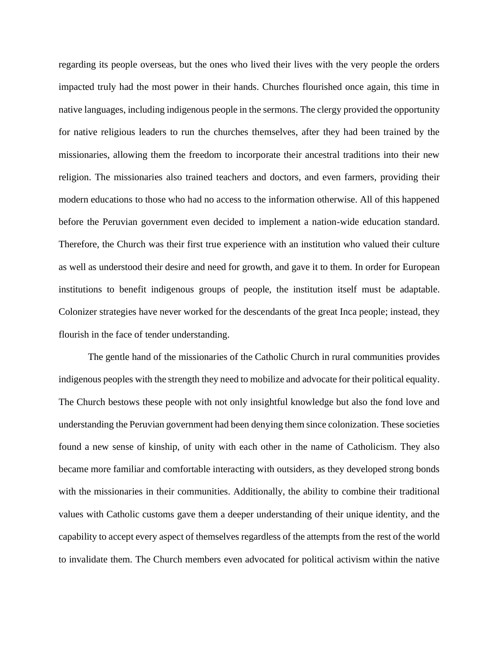regarding its people overseas, but the ones who lived their lives with the very people the orders impacted truly had the most power in their hands. Churches flourished once again, this time in native languages, including indigenous people in the sermons. The clergy provided the opportunity for native religious leaders to run the churches themselves, after they had been trained by the missionaries, allowing them the freedom to incorporate their ancestral traditions into their new religion. The missionaries also trained teachers and doctors, and even farmers, providing their modern educations to those who had no access to the information otherwise. All of this happened before the Peruvian government even decided to implement a nation-wide education standard. Therefore, the Church was their first true experience with an institution who valued their culture as well as understood their desire and need for growth, and gave it to them. In order for European institutions to benefit indigenous groups of people, the institution itself must be adaptable. Colonizer strategies have never worked for the descendants of the great Inca people; instead, they flourish in the face of tender understanding.

The gentle hand of the missionaries of the Catholic Church in rural communities provides indigenous peoples with the strength they need to mobilize and advocate for their political equality. The Church bestows these people with not only insightful knowledge but also the fond love and understanding the Peruvian government had been denying them since colonization. These societies found a new sense of kinship, of unity with each other in the name of Catholicism. They also became more familiar and comfortable interacting with outsiders, as they developed strong bonds with the missionaries in their communities. Additionally, the ability to combine their traditional values with Catholic customs gave them a deeper understanding of their unique identity, and the capability to accept every aspect of themselves regardless of the attempts from the rest of the world to invalidate them. The Church members even advocated for political activism within the native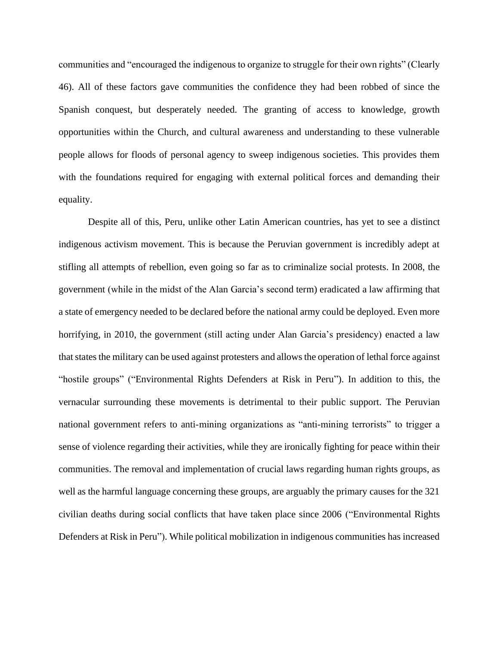communities and "encouraged the indigenous to organize to struggle for their own rights" (Clearly 46). All of these factors gave communities the confidence they had been robbed of since the Spanish conquest, but desperately needed. The granting of access to knowledge, growth opportunities within the Church, and cultural awareness and understanding to these vulnerable people allows for floods of personal agency to sweep indigenous societies. This provides them with the foundations required for engaging with external political forces and demanding their equality.

Despite all of this, Peru, unlike other Latin American countries, has yet to see a distinct indigenous activism movement. This is because the Peruvian government is incredibly adept at stifling all attempts of rebellion, even going so far as to criminalize social protests. In 2008, the government (while in the midst of the Alan Garcia's second term) eradicated a law affirming that a state of emergency needed to be declared before the national army could be deployed. Even more horrifying, in 2010, the government (still acting under Alan Garcia's presidency) enacted a law that states the military can be used against protesters and allows the operation of lethal force against "hostile groups" ("Environmental Rights Defenders at Risk in Peru"). In addition to this, the vernacular surrounding these movements is detrimental to their public support. The Peruvian national government refers to anti-mining organizations as "anti-mining terrorists" to trigger a sense of violence regarding their activities, while they are ironically fighting for peace within their communities. The removal and implementation of crucial laws regarding human rights groups, as well as the harmful language concerning these groups, are arguably the primary causes for the 321 civilian deaths during social conflicts that have taken place since 2006 ("Environmental Rights Defenders at Risk in Peru"). While political mobilization in indigenous communities has increased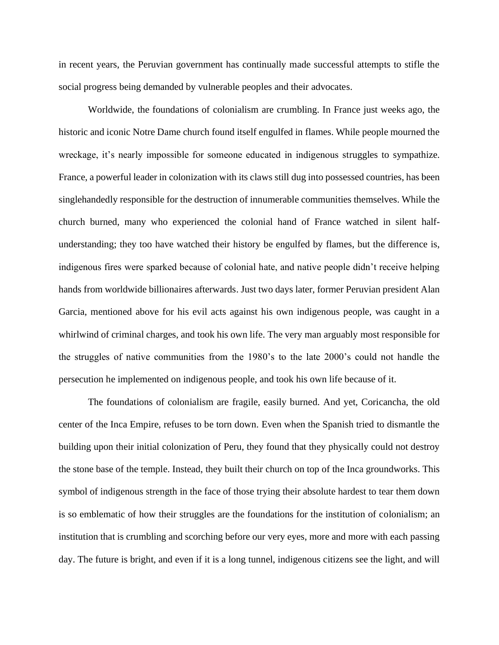in recent years, the Peruvian government has continually made successful attempts to stifle the social progress being demanded by vulnerable peoples and their advocates.

Worldwide, the foundations of colonialism are crumbling. In France just weeks ago, the historic and iconic Notre Dame church found itself engulfed in flames. While people mourned the wreckage, it's nearly impossible for someone educated in indigenous struggles to sympathize. France, a powerful leader in colonization with its claws still dug into possessed countries, has been singlehandedly responsible for the destruction of innumerable communities themselves. While the church burned, many who experienced the colonial hand of France watched in silent halfunderstanding; they too have watched their history be engulfed by flames, but the difference is, indigenous fires were sparked because of colonial hate, and native people didn't receive helping hands from worldwide billionaires afterwards. Just two days later, former Peruvian president Alan Garcia, mentioned above for his evil acts against his own indigenous people, was caught in a whirlwind of criminal charges, and took his own life. The very man arguably most responsible for the struggles of native communities from the 1980's to the late 2000's could not handle the persecution he implemented on indigenous people, and took his own life because of it.

The foundations of colonialism are fragile, easily burned. And yet, Coricancha, the old center of the Inca Empire, refuses to be torn down. Even when the Spanish tried to dismantle the building upon their initial colonization of Peru, they found that they physically could not destroy the stone base of the temple. Instead, they built their church on top of the Inca groundworks. This symbol of indigenous strength in the face of those trying their absolute hardest to tear them down is so emblematic of how their struggles are the foundations for the institution of colonialism; an institution that is crumbling and scorching before our very eyes, more and more with each passing day. The future is bright, and even if it is a long tunnel, indigenous citizens see the light, and will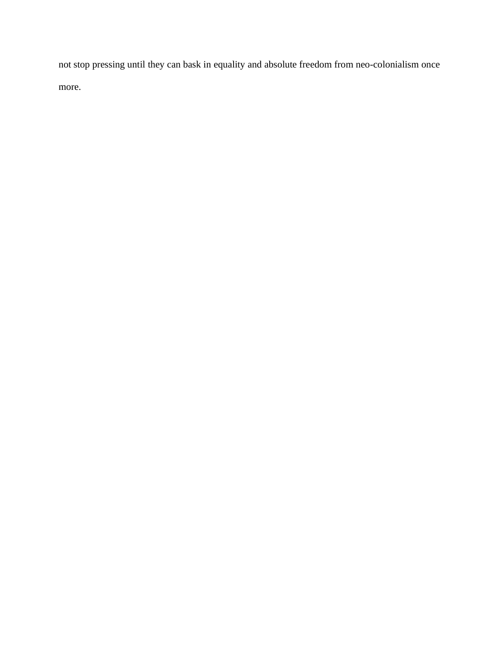not stop pressing until they can bask in equality and absolute freedom from neo-colonialism once more.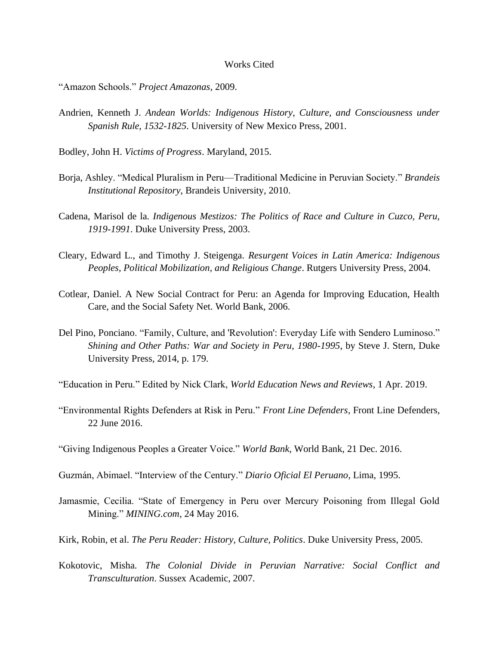## Works Cited

"Amazon Schools." *Project Amazonas*, 2009.

Andrien, Kenneth J. *Andean Worlds: Indigenous History, Culture, and Consciousness under Spanish Rule, 1532-1825*. University of New Mexico Press, 2001.

Bodley, John H. *Victims of Progress*. Maryland, 2015.

- Borja, Ashley. "Medical Pluralism in Peru—Traditional Medicine in Peruvian Society." *Brandeis Institutional Repository*, Brandeis University, 2010.
- Cadena, Marisol de la. *Indigenous Mestizos: The Politics of Race and Culture in Cuzco, Peru, 1919-1991*. Duke University Press, 2003.
- Cleary, Edward L., and Timothy J. Steigenga. *Resurgent Voices in Latin America: Indigenous Peoples, Political Mobilization, and Religious Change*. Rutgers University Press, 2004.
- Cotlear, Daniel. A New Social Contract for Peru: an Agenda for Improving Education, Health Care, and the Social Safety Net. World Bank, 2006.
- Del Pino, Ponciano. "Family, Culture, and 'Revolution': Everyday Life with Sendero Luminoso." *Shining and Other Paths: War and Society in Peru, 1980-1995*, by Steve J. Stern, Duke University Press, 2014, p. 179.
- "Education in Peru." Edited by Nick Clark, *World Education News and Reviews*, 1 Apr. 2019.
- "Environmental Rights Defenders at Risk in Peru." *Front Line Defenders*, Front Line Defenders, 22 June 2016.
- "Giving Indigenous Peoples a Greater Voice." *World Bank*, World Bank, 21 Dec. 2016.
- Guzmán, Abimael. "Interview of the Century." *Diario Oficial El Peruano*, Lima, 1995.
- Jamasmie, Cecilia. "State of Emergency in Peru over Mercury Poisoning from Illegal Gold Mining." *MINING.com*, 24 May 2016.
- Kirk, Robin, et al. *The Peru Reader: History, Culture, Politics*. Duke University Press, 2005.
- Kokotovic, Misha. *The Colonial Divide in Peruvian Narrative: Social Conflict and Transculturation*. Sussex Academic, 2007.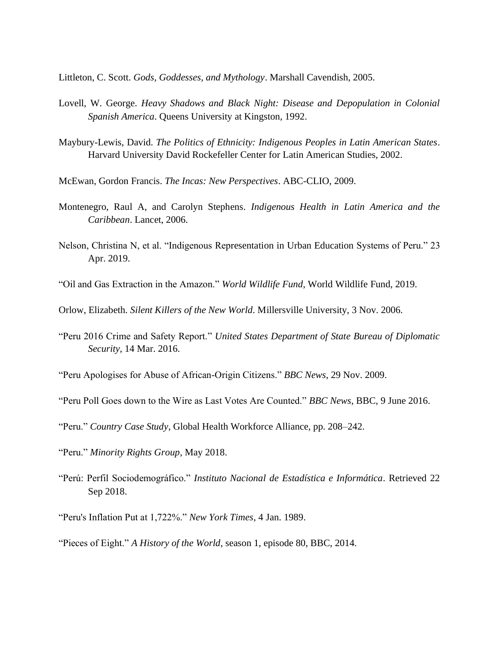Littleton, C. Scott. *Gods, Goddesses, and Mythology*. Marshall Cavendish, 2005.

- Lovell, W. George. *Heavy Shadows and Black Night: Disease and Depopulation in Colonial Spanish America*. Queens University at Kingston, 1992.
- Maybury-Lewis, David. *The Politics of Ethnicity: Indigenous Peoples in Latin American States*. Harvard University David Rockefeller Center for Latin American Studies, 2002.
- McEwan, Gordon Francis. *The Incas: New Perspectives*. ABC-CLIO, 2009.
- Montenegro, Raul A, and Carolyn Stephens. *Indigenous Health in Latin America and the Caribbean*. Lancet, 2006.
- Nelson, Christina N, et al. "Indigenous Representation in Urban Education Systems of Peru." 23 Apr. 2019.
- "Oil and Gas Extraction in the Amazon." *World Wildlife Fund*, World Wildlife Fund, 2019.
- Orlow, Elizabeth. *Silent Killers of the New World*. Millersville University, 3 Nov. 2006.
- "Peru 2016 Crime and Safety Report." *United States Department of State Bureau of Diplomatic Security*, 14 Mar. 2016.
- "Peru Apologises for Abuse of African-Origin Citizens." *BBC News*, 29 Nov. 2009.
- "Peru Poll Goes down to the Wire as Last Votes Are Counted." *BBC News*, BBC, 9 June 2016.
- "Peru." *Country Case Study*, Global Health Workforce Alliance, pp. 208–242.
- "Peru." *Minority Rights Group*, May 2018.
- "Perú: Perfil Sociodemográfico." *Instituto Nacional de Estadística e Informática*. Retrieved 22 Sep 2018.
- "Peru's Inflation Put at 1,722%." *New York Times*, 4 Jan. 1989.
- "Pieces of Eight." *A History of the World*, season 1, episode 80, BBC, 2014.